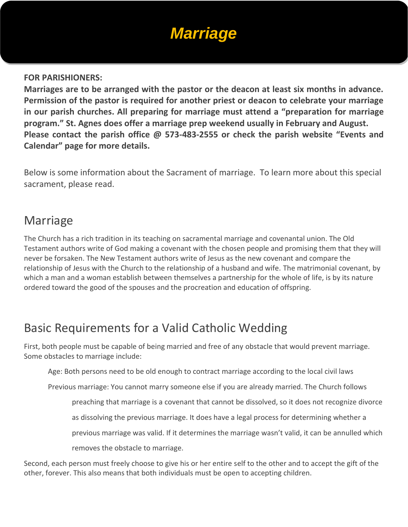# *Marriage*

#### **FOR PARISHIONERS:**

**Marriages are to be arranged with the pastor or the deacon at least six months in advance. Permission of the pastor is required for another priest or deacon to celebrate your marriage in our parish churches. All preparing for marriage must attend a "preparation for marriage program." St. Agnes does offer a marriage prep weekend usually in February and August. Please contact the parish office @ 573-483-2555 or check the parish website "Events and Calendar" page for more details.**

Below is some information about the Sacrament of marriage. To learn more about this special sacrament, please read.

#### Marriage

The Church has a rich tradition in its teaching on sacramental marriage and covenantal union. The Old Testament authors write of God making a covenant with the chosen people and promising them that they will never be forsaken. The New Testament authors write of Jesus as the new covenant and compare the relationship of Jesus with the Church to the relationship of a husband and wife. The matrimonial covenant, by which a man and a woman establish between themselves a partnership for the whole of life, is by its nature ordered toward the good of the spouses and the procreation and education of offspring.

#### Basic Requirements for a Valid Catholic Wedding

First, both people must be capable of being married and free of any obstacle that would prevent marriage. Some obstacles to marriage include:

Age: Both persons need to be old enough to contract marriage according to the local civil laws

Previous marriage: You cannot marry someone else if you are already married. The Church follows

preaching that marriage is a covenant that cannot be dissolved, so it does not recognize divorce

as dissolving the previous marriage. It does have a legal process for determining whether a

previous marriage was valid. If it determines the marriage wasn't valid, it can be annulled which

removes the obstacle to marriage.

Second, each person must freely choose to give his or her entire self to the other and to accept the gift of the other, forever. This also means that both individuals must be open to accepting children.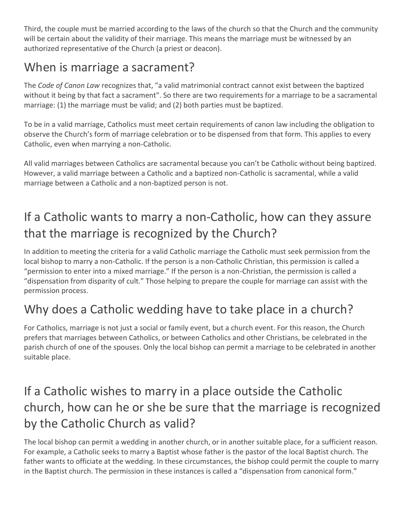Third, the couple must be married according to the laws of the church so that the Church and the community will be certain about the validity of their marriage. This means the marriage must be witnessed by an authorized representative of the Church (a priest or deacon).

#### When is marriage a sacrament?

The *Code of Canon Law* recognizes that, "a valid matrimonial contract cannot exist between the baptized without it being by that fact a sacrament". So there are two requirements for a marriage to be a sacramental marriage: (1) the marriage must be valid; and (2) both parties must be baptized.

To be in a valid marriage, Catholics must meet certain requirements of canon law including the obligation to observe the Church's form of marriage celebration or to be dispensed from that form. This applies to every Catholic, even when marrying a non-Catholic.

All valid marriages between Catholics are sacramental because you can't be Catholic without being baptized. However, a valid marriage between a Catholic and a baptized non-Catholic is sacramental, while a valid marriage between a Catholic and a non-baptized person is not.

## If a Catholic wants to marry a non-Catholic, how can they assure that the marriage is recognized by the Church?

In addition to meeting the criteria for a valid Catholic marriage the Catholic must seek permission from the local bishop to marry a non-Catholic. If the person is a non-Catholic Christian, this permission is called a "permission to enter into a mixed marriage." If the person is a non-Christian, the permission is called a "dispensation from disparity of cult." Those helping to prepare the couple for marriage can assist with the permission process.

### Why does a Catholic wedding have to take place in a church?

For Catholics, marriage is not just a social or family event, but a church event. For this reason, the Church prefers that marriages between Catholics, or between Catholics and other Christians, be celebrated in the parish church of one of the spouses. Only the local bishop can permit a marriage to be celebrated in another suitable place.

#### If a Catholic wishes to marry in a place outside the Catholic church, how can he or she be sure that the marriage is recognized by the Catholic Church as valid?

The local bishop can permit a wedding in another church, or in another suitable place, for a sufficient reason. For example, a Catholic seeks to marry a Baptist whose father is the pastor of the local Baptist church. The father wants to officiate at the wedding. In these circumstances, the bishop could permit the couple to marry in the Baptist church. The permission in these instances is called a "dispensation from canonical form."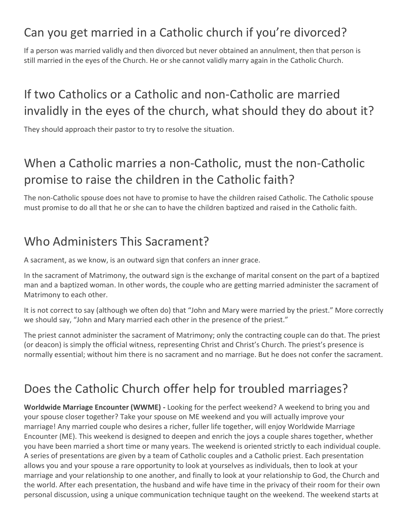#### Can you get married in a Catholic church if you're divorced?

If a person was married validly and then divorced but never obtained an annulment, then that person is still married in the eyes of the Church. He or she cannot validly marry again in the Catholic Church.

#### If two Catholics or a Catholic and non-Catholic are married invalidly in the eyes of the church, what should they do about it?

They should approach their pastor to try to resolve the situation.

#### When a Catholic marries a non-Catholic, must the non-Catholic promise to raise the children in the Catholic faith?

The non-Catholic spouse does not have to promise to have the children raised Catholic. The Catholic spouse must promise to do all that he or she can to have the children baptized and raised in the Catholic faith.

#### Who Administers This Sacrament?

A sacrament, as we know, is an outward sign that confers an inner grace.

In the sacrament of Matrimony, the outward sign is the exchange of marital consent on the part of a baptized man and a baptized woman. In other words, the couple who are getting married administer the sacrament of Matrimony to each other.

It is not correct to say (although we often do) that "John and Mary were married by the priest." More correctly we should say, "John and Mary married each other in the presence of the priest."

The priest cannot administer the sacrament of Matrimony; only the contracting couple can do that. The priest (or deacon) is simply the official witness, representing Christ and Christ's Church. The priest's presence is normally essential; without him there is no sacrament and no marriage. But he does not confer the sacrament.

#### Does the Catholic Church offer help for troubled marriages?

**Worldwide Marriage Encounter (WWME) -** Looking for the perfect weekend? A weekend to bring you and your spouse closer together? Take your spouse on ME weekend and you will actually improve your marriage! Any married couple who desires a richer, fuller life together, will enjoy Worldwide Marriage Encounter (ME). This weekend is designed to deepen and enrich the joys a couple shares together, whether you have been married a short time or many years. The weekend is oriented strictly to each individual couple. A series of presentations are given by a team of Catholic couples and a Catholic priest. Each presentation allows you and your spouse a rare opportunity to look at yourselves as individuals, then to look at your marriage and your relationship to one another, and finally to look at your relationship to God, the Church and the world. After each presentation, the husband and wife have time in the privacy of their room for their own personal discussion, using a unique communication technique taught on the weekend. The weekend starts at